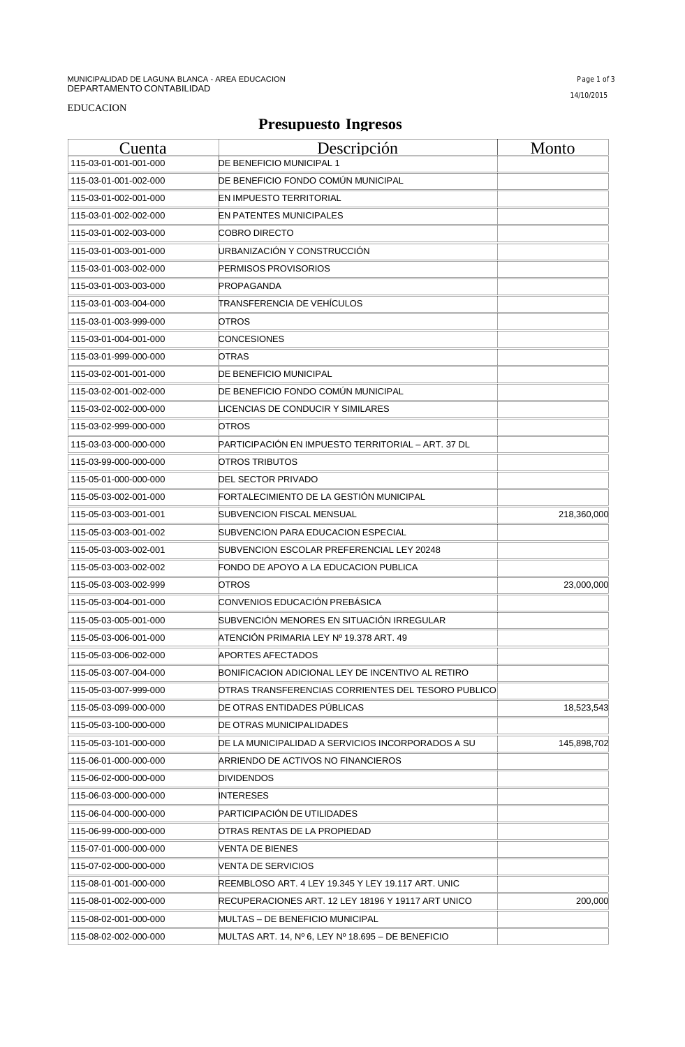## **Presupuesto Ingresos**

| Cuenta                | <u>Descripción</u>                                 | Monto       |
|-----------------------|----------------------------------------------------|-------------|
| 115-03-01-001-001-000 | DE BENEFICIO MUNICIPAL 1                           |             |
| 115-03-01-001-002-000 | DE BENEFICIO FONDO COMÚN MUNICIPAL                 |             |
| 115-03-01-002-001-000 | EN IMPUESTO TERRITORIAL                            |             |
| 115-03-01-002-002-000 | EN PATENTES MUNICIPALES                            |             |
| 115-03-01-002-003-000 | COBRO DIRECTO                                      |             |
| 115-03-01-003-001-000 | URBANIZACIÓN Y CONSTRUCCIÓN                        |             |
| 115-03-01-003-002-000 | PERMISOS PROVISORIOS                               |             |
| 115-03-01-003-003-000 | PROPAGANDA                                         |             |
| 115-03-01-003-004-000 | TRANSFERENCIA DE VEHÍCULOS                         |             |
| 115-03-01-003-999-000 | OTROS                                              |             |
| 115-03-01-004-001-000 | CONCESIONES                                        |             |
| 115-03-01-999-000-000 | OTRAS                                              |             |
| 115-03-02-001-001-000 | DE BENEFICIO MUNICIPAL                             |             |
| 115-03-02-001-002-000 | DE BENEFICIO FONDO COMÚN MUNICIPAL                 |             |
| 115-03-02-002-000-000 | ICENCIAS DE CONDUCIR Y SIMILARES.                  |             |
| 115-03-02-999-000-000 | OTROS                                              |             |
| 115-03-03-000-000-000 | PARTICIPACIÓN EN IMPUESTO TERRITORIAL – ART. 37 DL |             |
| 115-03-99-000-000-000 | OTROS TRIBUTOS                                     |             |
| 115-05-01-000-000-000 | DEL SECTOR PRIVADO                                 |             |
| 115-05-03-002-001-000 | FORTALECIMIENTO DE LA GESTIÓN MUNICIPAL            |             |
| 115-05-03-003-001-001 | SUBVENCION FISCAL MENSUAL                          | 218,360,000 |
| 115-05-03-003-001-002 | SUBVENCION PARA EDUCACION ESPECIAL                 |             |
| 115-05-03-003-002-001 | SUBVENCION ESCOLAR PREFERENCIAL LEY 20248          |             |
| 115-05-03-003-002-002 | FONDO DE APOYO A LA EDUCACION PUBLICA              |             |
| 115-05-03-003-002-999 | OTROS                                              | 23,000,000  |
| 115-05-03-004-001-000 | CONVENIOS EDUCACIÓN PREBÁSICA                      |             |
| 115-05-03-005-001-000 | SUBVENCIÓN MENORES EN SITUACIÓN IRREGULAR          |             |
| 115-05-03-006-001-000 | ATENCIÓN PRIMARIA LEY № 19.378 ART. 49             |             |
| 115-05-03-006-002-000 | APORTES AFECTADOS                                  |             |
| 115-05-03-007-004-000 | BONIFICACION ADICIONAL LEY DE INCENTIVO AL RETIRO  |             |
| 115-05-03-007-999-000 | OTRAS TRANSFERENCIAS CORRIENTES DEL TESORO PUBLICO |             |
| 115-05-03-099-000-000 | DE OTRAS ENTIDADES PÚBLICAS                        | 18,523,543  |
| 115-05-03-100-000-000 | DE OTRAS MUNICIPALIDADES                           |             |
| 115-05-03-101-000-000 | DE LA MUNICIPALIDAD A SERVICIOS INCORPORADOS A SU  | 145,898,702 |
| 115-06-01-000-000-000 | ARRIENDO DE ACTIVOS NO FINANCIEROS                 |             |
| 115-06-02-000-000-000 | <b>DIVIDENDOS</b>                                  |             |
| 115-06-03-000-000-000 | INTERESES                                          |             |
| 115-06-04-000-000-000 | PARTICIPACION DE UTILIDADES                        |             |
| 115-06-99-000-000-000 | OTRAS RENTAS DE LA PROPIEDAD                       |             |
| 115-07-01-000-000-000 | VENTA DE BIENES                                    |             |
| 115-07-02-000-000-000 | VENTA DE SERVICIOS                                 |             |
| 115-08-01-001-000-000 | REEMBLOSO ART. 4 LEY 19.345 Y LEY 19.117 ART. UNIC |             |
| 115-08-01-002-000-000 | RECUPERACIONES ART. 12 LEY 18196 Y 19117 ART UNICO | 200,000     |
| 115-08-02-001-000-000 | MULTAS – DE BENEFICIO MUNICIPAL                    |             |
| 115-08-02-002-000-000 | MULTAS ART. 14, Nº 6, LEY Nº 18.695 – DE BENEFICIO |             |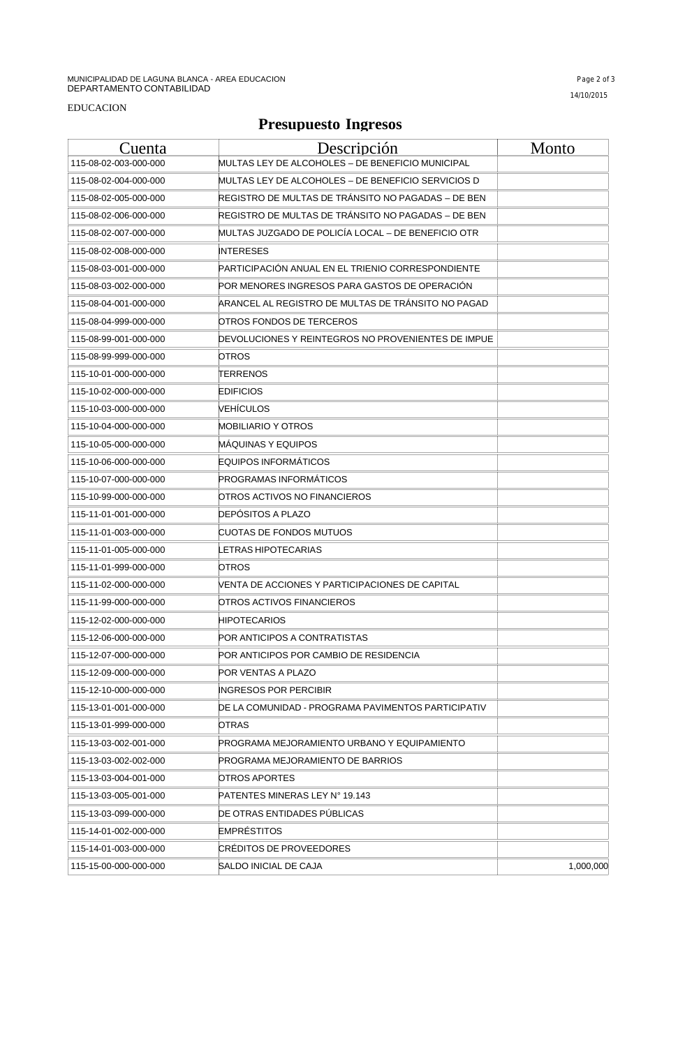### EDUCACION

## **Presupuesto Ingresos**

| Cuenta                | Descripción                                        | Monto     |
|-----------------------|----------------------------------------------------|-----------|
| 115-08-02-003-000-000 | MULTAS LEY DE ALCOHOLES – DE BENEFICIO MUNICIPAL   |           |
| 115-08-02-004-000-000 | MULTAS LEY DE ALCOHOLES – DE BENEFICIO SERVICIOS D |           |
| 115-08-02-005-000-000 | REGISTRO DE MULTAS DE TRANSITO NO PAGADAS – DE BEN |           |
| 115-08-02-006-000-000 | REGISTRO DE MULTAS DE TRÁNSITO NO PAGADAS – DE BEN |           |
| 115-08-02-007-000-000 | MULTAS JUZGADO DE POLICÍA LOCAL - DE BENEFICIO OTR |           |
| 115-08-02-008-000-000 | <b>INTERESES</b>                                   |           |
| 115-08-03-001-000-000 | PARTICIPACIÓN ANUAL EN EL TRIENIO CORRESPONDIENTE  |           |
| 115-08-03-002-000-000 | POR MENORES INGRESOS PARA GASTOS DE OPERACIÓN      |           |
| 115-08-04-001-000-000 | ARANCEL AL REGISTRO DE MULTAS DE TRÁNSITO NO PAGAD |           |
| 115-08-04-999-000-000 | OTROS FONDOS DE TERCEROS                           |           |
| 115-08-99-001-000-000 | DEVOLUCIONES Y REINTEGROS NO PROVENIENTES DE IMPUE |           |
| 115-08-99-999-000-000 | OTROS                                              |           |
| 115-10-01-000-000-000 | TERRENOS                                           |           |
| 115-10-02-000-000-000 | <b>EDIFICIOS</b>                                   |           |
| 115-10-03-000-000-000 | VEHİCULOS                                          |           |
| 115-10-04-000-000-000 | MOBILIARIO Y OTROS                                 |           |
| 115-10-05-000-000-000 | MÁQUINAS Y EQUIPOS                                 |           |
| 115-10-06-000-000-000 | <b>EQUIPOS INFORMÁTICOS</b>                        |           |
| 115-10-07-000-000-000 | PROGRAMAS INFORMATICOS                             |           |
| 115-10-99-000-000-000 | OTROS ACTIVOS NO FINANCIEROS                       |           |
| 115-11-01-001-000-000 | DEPOSITOS A PLAZO                                  |           |
| 115-11-01-003-000-000 | CUOTAS DE FONDOS MUTUOS                            |           |
| 115-11-01-005-000-000 | ETRAS HIPOTECARIAS.                                |           |
| 115-11-01-999-000-000 | OTROS                                              |           |
| 115-11-02-000-000-000 | VENTA DE ACCIONES Y PARTICIPACIONES DE CAPITAL     |           |
| 115-11-99-000-000-000 | OTROS ACTIVOS FINANCIEROS                          |           |
| 115-12-02-000-000-000 | HIPOTECARIOS                                       |           |
| 115-12-06-000-000-000 | POR ANTICIPOS A CONTRATISTAS                       |           |
| 115-12-07-000-000-000 | POR ANTICIPOS POR CAMBIO DE RESIDENCIA             |           |
| 115-12-09-000-000-000 | POR VENTAS A PLAZO                                 |           |
| 115-12-10-000-000-000 | INGRESOS POR PERCIBIR                              |           |
| 115-13-01-001-000-000 | DE LA COMUNIDAD - PROGRAMA PAVIMENTOS PARTICIPATIV |           |
| 115-13-01-999-000-000 | OTRAS                                              |           |
| 115-13-03-002-001-000 | PROGRAMA MEJORAMIENTO URBANO Y EQUIPAMIENTO        |           |
| 115-13-03-002-002-000 | PROGRAMA MEJORAMIENTO DE BARRIOS                   |           |
| 115-13-03-004-001-000 | OTROS APORTES                                      |           |
| 115-13-03-005-001-000 | PATENTES MINERAS LEY N° 19.143                     |           |
| 115-13-03-099-000-000 | DE OTRAS ENTIDADES PÚBLICAS                        |           |
| 115-14-01-002-000-000 | <b>EMPRÉSTITOS</b>                                 |           |
| 115-14-01-003-000-000 | CREDITOS DE PROVEEDORES                            |           |
| 115-15-00-000-000-000 | SALDO INICIAL DE CAJA                              | 1,000,000 |